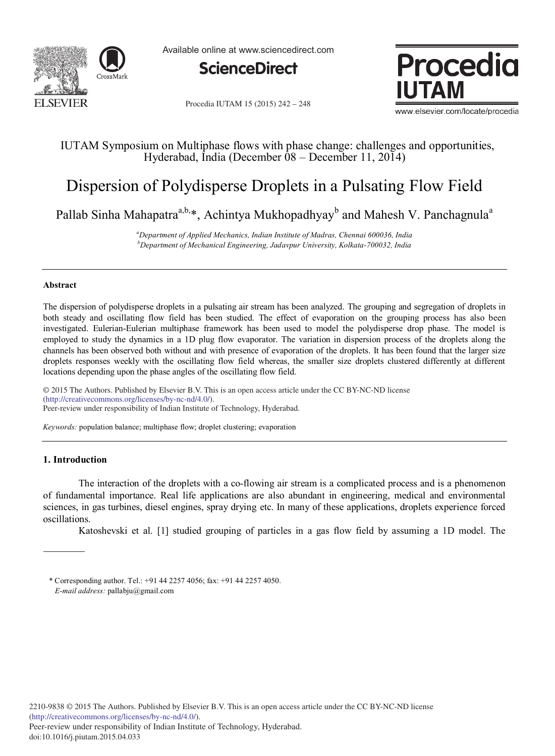

Available online at www.sciencedirect.com



Procedia IUTAM 15 (2015) 242 - 248



www.elsevier.com/locate/procedia

# IUTAM Symposium on Multiphase flows with phase change: challenges and opportunities, Hyderabad, India (December  $\hat{0}8$  – December 11, 2014)

# Dispersion of Polydisperse Droplets in a Pulsating Flow Field

Pallab Sinha Mahapatra<sup>a,b,\*</sup>, Achintya Mukhopadhyay<sup>b</sup> and Mahesh V. Panchagnula<sup>a</sup>

*<sup>a</sup>Department of Applied Mechanics, Indian Institute of Madras, Chennai 600036, India <sup>b</sup>Department of Mechanical Engineering, Jadavpur University, Kolkata-700032, India*

# **Abstract**

The dispersion of polydisperse droplets in a pulsating air stream has been analyzed. The grouping and segregation of droplets in both steady and oscillating flow field has been studied. The effect of evaporation on the grouping process has also been investigated. Eulerian-Eulerian multiphase framework has been used to model the polydisperse drop phase. The model is employed to study the dynamics in a 1D plug flow evaporator. The variation in dispersion process of the droplets along the channels has been observed both without and with presence of evaporation of the droplets. It has been found that the larger size droplets responses weekly with the oscillating flow field whereas, the smaller size droplets clustered differently at different locations depending upon the phase angles of the oscillating flow field.

© 2014 The Authors. Published by Elsevier B.V. (http://creativecommons.org/licenses/by-nc-nd/4.0/). Peer-review under responsibility of Indian Institute of Technology, Hyderabad. Peer-review under responsibility of Indian Institute of Technology, Hyderabad.© 2015 The Authors. Published by Elsevier B.V. This is an open access article under the CC BY-NC-ND license

*Keywords:* population balance; multiphase flow; droplet clustering; evaporation

# **1. Introduction**

The interaction of the droplets with a co-flowing air stream is a complicated process and is a phenomenon of fundamental importance. Real life applications are also abundant in engineering, medical and environmental sciences, in gas turbines, diesel engines, spray drying etc. In many of these applications, droplets experience forced oscillations.

Katoshevski et al. [1] studied grouping of particles in a gas flow field by assuming a 1D model. The

<sup>\*</sup> Corresponding author. Tel.: +91 44 2257 4056; fax: +91 44 2257 4050. *E-mail address:* pallabju@gmail.com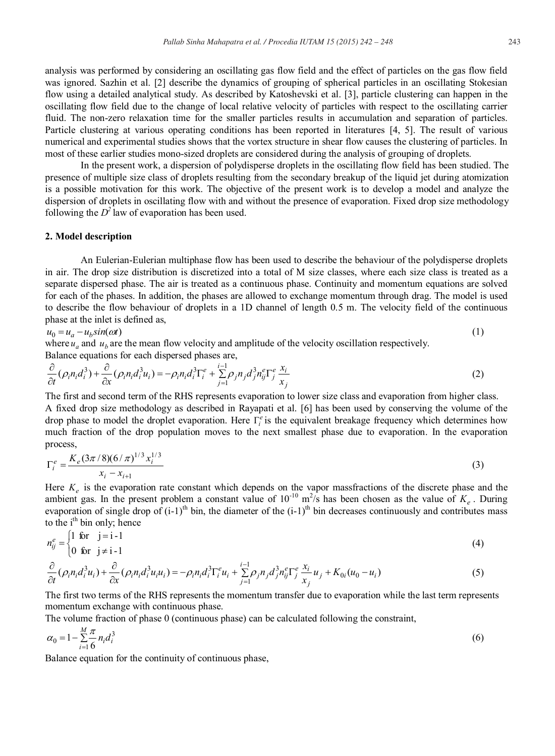analysis was performed by considering an oscillating gas flow field and the effect of particles on the gas flow field was ignored. Sazhin et al. [2] describe the dynamics of grouping of spherical particles in an oscillating Stokesian flow using a detailed analytical study. As described by Katoshevski et al. [3], particle clustering can happen in the oscillating flow field due to the change of local relative velocity of particles with respect to the oscillating carrier fluid. The non-zero relaxation time for the smaller particles results in accumulation and separation of particles. Particle clustering at various operating conditions has been reported in literatures [4, 5]. The result of various

most of these earlier studies mono-sized droplets are considered during the analysis of grouping of droplets. In the present work, a dispersion of polydisperse droplets in the oscillating flow field has been studied. The presence of multiple size class of droplets resulting from the secondary breakup of the liquid jet during atomization is a possible motivation for this work. The objective of the present work is to develop a model and analyze the dispersion of droplets in oscillating flow with and without the presence of evaporation. Fixed drop size methodology following the  $D^2$  law of evaporation has been used.

numerical and experimental studies shows that the vortex structure in shear flow causes the clustering of particles. In

#### **2. Model description**

An Eulerian-Eulerian multiphase flow has been used to describe the behaviour of the polydisperse droplets in air. The drop size distribution is discretized into a total of M size classes, where each size class is treated as a separate dispersed phase. The air is treated as a continuous phase. Continuity and momentum equations are solved for each of the phases. In addition, the phases are allowed to exchange momentum through drag. The model is used to describe the flow behaviour of droplets in a 1D channel of length 0.5 m. The velocity field of the continuous phase at the inlet is defined as,

$$
u_0 = u_a - u_b \sin(\omega t) \tag{1}
$$

where  $u_a$  and  $u_b$  are the mean flow velocity and amplitude of the velocity oscillation respectively. Balance equations for each dispersed phases are,

$$
\frac{\partial}{\partial t}(\rho_i n_i d_i^3) + \frac{\partial}{\partial x}(\rho_i n_i d_i^3 u_i) = -\rho_i n_i d_i^3 \Gamma_i^e + \sum_{j=1}^{i-1} \rho_j n_j d_j^3 n_{ij}^e \Gamma_j^e \frac{x_i}{x_j}
$$
(2)

The first and second term of the RHS represents evaporation to lower size class and evaporation from higher class. A fixed drop size methodology as described in Rayapati et al. [6] has been used by conserving the volume of the drop phase to model the droplet evaporation. Here  $\Gamma_i^e$  is the equivalent breakage frequency which determines how much fraction of the drop population moves to the next smallest phase due to evaporation. In the evaporation process,

$$
\Gamma_i^e = \frac{K_e (3\pi/8)(6/\pi)^{1/3} x_i^{1/3}}{x_i - x_{i+1}}
$$
\n(3)

Here  $K_e$  is the evaporation rate constant which depends on the vapor massfractions of the discrete phase and the ambient gas. In the present problem a constant value of  $10^{-10}$  m<sup>2</sup>/s has been chosen as the value of  $K_e$ . During evaporation of single drop of  $(i-1)$ <sup>th</sup> bin, the diameter of the  $(i-1)$ <sup>th</sup> bin decreases continuously and contributes mass to the  $i<sup>th</sup>$  bin only; hence

$$
n_{ij}^e = \begin{cases} 1 & \text{for } j = i - 1 \\ 0 & \text{for } j \neq i - 1 \end{cases} \tag{4}
$$

$$
\frac{\partial}{\partial t}(\rho_i n_i d_i^3 u_i) + \frac{\partial}{\partial x}(\rho_i n_i d_i^3 u_i u_i) = -\rho_i n_i d_i^3 \Gamma_i^e u_i + \sum_{j=1}^{i-1} \rho_j n_j d_j^3 n_{ij}^e \Gamma_j^e \frac{x_i}{x_j} u_j + K_{0i}(u_0 - u_i)
$$
\n(5)

The first two terms of the RHS represents the momentum transfer due to evaporation while the last term represents momentum exchange with continuous phase.

The volume fraction of phase 0 (continuous phase) can be calculated following the constraint,

$$
\alpha_0 = 1 - \sum_{i=1}^{M} \frac{\pi}{6} n_i d_i^3 \tag{6}
$$

Balance equation for the continuity of continuous phase,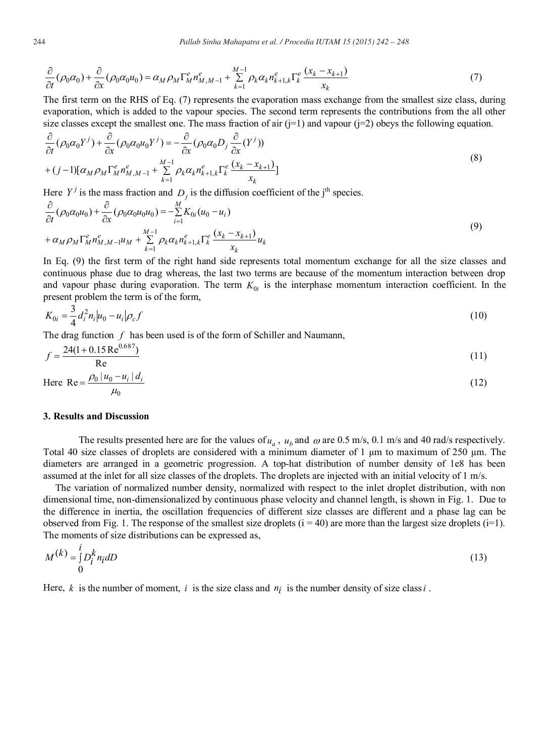$$
\frac{\partial}{\partial t}(\rho_0 \alpha_0) + \frac{\partial}{\partial x}(\rho_0 \alpha_0 u_0) = \alpha_M \rho_M \Gamma_M^e n_{M,M-1}^e + \sum_{k=1}^{M-1} \rho_k \alpha_k n_{k+1,k}^e \Gamma_k^e \frac{(x_k - x_{k+1})}{x_k}
$$
(7)

The first term on the RHS of Eq. (7) represents the evaporation mass exchange from the smallest size class, during evaporation, which is added to the vapour species. The second term represents the contributions from the all other size classes except the smallest one. The mass fraction of air  $(i=1)$  and vapour  $(i=2)$  obeys the following equation.

$$
\frac{\partial}{\partial t}(\rho_0 \alpha_0 Y^j) + \frac{\partial}{\partial x}(\rho_0 \alpha_0 u_0 Y^j) = -\frac{\partial}{\partial x}(\rho_0 \alpha_0 D_j \frac{\partial}{\partial x} (Y^j)) \n+ (j-1)[\alpha_M \rho_M \Gamma_M^e n_{M,M-1}^e + \sum_{k=1}^{M-1} \rho_k \alpha_k n_{k+1,k}^e \Gamma_k^e \frac{(x_k - x_{k+1})}{x_k}]
$$
\n(8)

Here  $Y^j$  is the mass fraction and  $D_j$  is the diffusion coefficient of the j<sup>th</sup> species.

$$
\frac{\partial}{\partial t} (\rho_0 \alpha_0 u_0) + \frac{\partial}{\partial x} (\rho_0 \alpha_0 u_0 u_0) = -\sum_{i=1}^M K_{0i} (u_0 - u_i) \n+ \alpha_M \rho_M \Gamma_M^e n_{M,M-1}^e u_M + \sum_{k=1}^{M-1} \rho_k \alpha_k n_{k+1,k}^e \Gamma_k^e \frac{(x_k - x_{k+1})}{x_k} u_k
$$
\n(9)

In Eq. (9) the first term of the right hand side represents total momentum exchange for all the size classes and continuous phase due to drag whereas, the last two terms are because of the momentum interaction between drop and vapour phase during evaporation. The term  $K_{0i}$  is the interphase momentum interaction coefficient. In the present problem the term is of the form,

$$
K_{0i} = \frac{3}{4} d_i^2 n_i |u_0 - u_i| \rho_c f \tag{10}
$$

The drag function *f* has been used is of the form of Schiller and Naumann,

$$
f = \frac{24(1 + 0.15 \text{Re}^{0.687})}{\text{Re}} \tag{11}
$$

Here 
$$
Re = \frac{\rho_0 |u_0 - u_i| d_i}{\mu_0}
$$
 (12)

### **3. Results and Discussion**

The results presented here are for the values of  $u_a$ ,  $u_b$  and  $\omega$  are 0.5 m/s, 0.1 m/s and 40 rad/s respectively. Total 40 size classes of droplets are considered with a minimum diameter of 1 μm to maximum of 250 μm. The diameters are arranged in a geometric progression. A top-hat distribution of number density of 1e8 has been assumed at the inlet for all size classes of the droplets. The droplets are injected with an initial velocity of 1 m/s.

The variation of normalized number density, normalized with respect to the inlet droplet distribution, with non dimensional time, non-dimensionalized by continuous phase velocity and channel length, is shown in Fig. 1. Due to the difference in inertia, the oscillation frequencies of different size classes are different and a phase lag can be observed from Fig. 1. The response of the smallest size droplets  $(i = 40)$  are more than the largest size droplets  $(i=1)$ . The moments of size distributions can be expressed as,

$$
M^{(k)} = \int_{0}^{i} D_i^k n_i dD \tag{13}
$$

Here,  $k$  is the number of moment, *i* is the size class and  $n_i$  is the number density of size class *i*.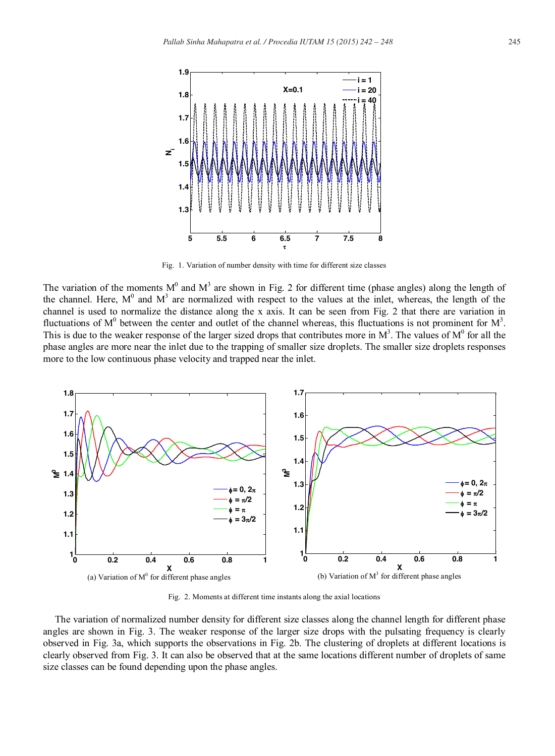

Fig. 1. Variation of number density with time for different size classes

The variation of the moments  $M^0$  and  $M^3$  are shown in Fig. 2 for different time (phase angles) along the length of the channel. Here,  $M^0$  and  $M^3$  are normalized with respect to the values at the inlet, whereas, the length of the channel is used to normalize the distance along the x axis. It can be seen from Fig. 2 that there are variation in fluctuations of  $M^0$  between the center and outlet of the channel whereas, this fluctuations is not prominent for  $M^3$ . This is due to the weaker response of the larger sized drops that contributes more in  $M^3$ . The values of  $M^0$  for all the phase angles are more near the inlet due to the trapping of smaller size droplets. The smaller size droplets responses more to the low continuous phase velocity and trapped near the inlet.



Fig. 2. Moments at different time instants along the axial locations

The variation of normalized number density for different size classes along the channel length for different phase angles are shown in Fig. 3. The weaker response of the larger size drops with the pulsating frequency is clearly observed in Fig. 3a, which supports the observations in Fig. 2b. The clustering of droplets at different locations is clearly observed from Fig. 3. It can also be observed that at the same locations different number of droplets of same size classes can be found depending upon the phase angles.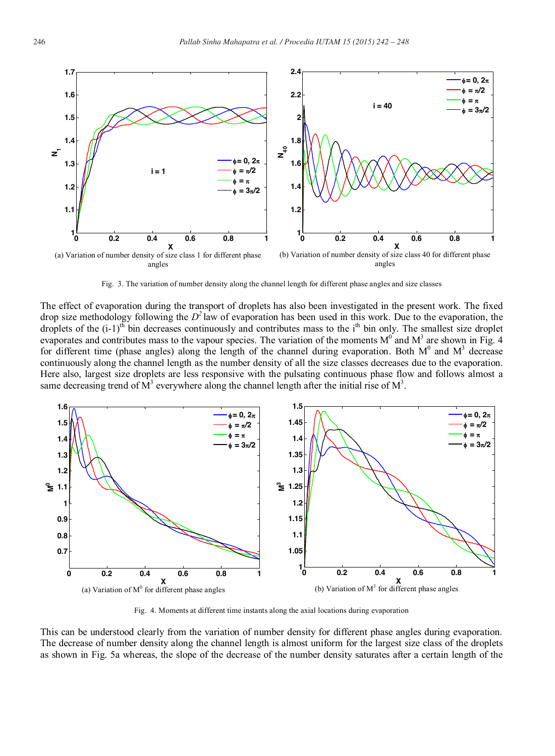

Fig. 3. The variation of number density along the channel length for different phase angles and size classes

The effect of evaporation during the transport of droplets has also been investigated in the present work. The fixed drop size methodology following the  $D^2$  law of evaporation has been used in this work. Due to the evaporation, the droplets of the  $(i-1)$ <sup>th</sup> bin decreases continuously and contributes mass to the i<sup>th</sup> bin only. The smallest size droplet evaporates and contributes mass to the vapour species. The variation of the moments  $M^0$  and  $M^3$  are shown in Fig. 4 for different time (phase angles) along the length of the channel during evaporation. Both  $M^0$  and  $M^3$  decrease continuously along the channel length as the number density of all the size classes decreases due to the evaporation. Here also, largest size droplets are less responsive with the pulsating continuous phase flow and follows almost a same decreasing trend of  $\overline{M}^3$  everywhere along the channel length after the initial rise of  $\overline{M}^3$ .



Fig. 4. Moments at different time instants along the axial locations during evaporation

This can be understood clearly from the variation of number density for different phase angles during evaporation. The decrease of number density along the channel length is almost uniform for the largest size class of the droplets as shown in Fig. 5a whereas, the slope of the decrease of the number density saturates after a certain length of the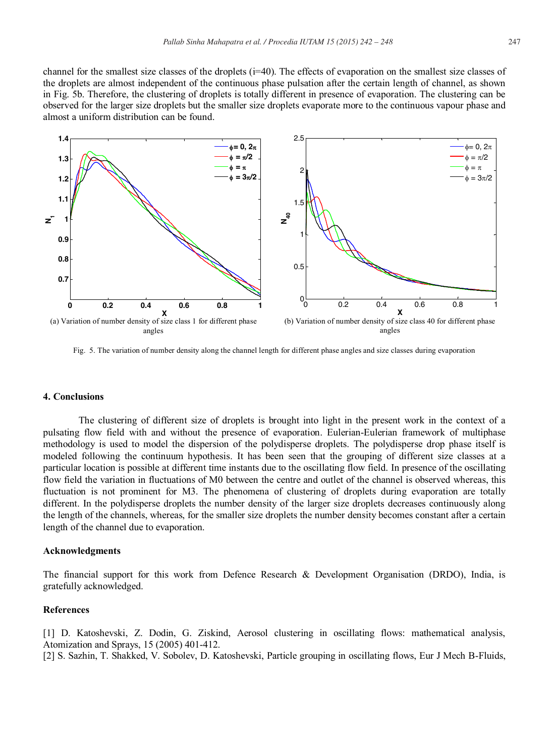channel for the smallest size classes of the droplets (i=40). The effects of evaporation on the smallest size classes of the droplets are almost independent of the continuous phase pulsation after the certain length of channel, as shown in Fig. 5b. Therefore, the clustering of droplets is totally different in presence of evaporation. The clustering can be observed for the larger size droplets but the smaller size droplets evaporate more to the continuous vapour phase and almost a uniform distribution can be found.



Fig. 5. The variation of number density along the channel length for different phase angles and size classes during evaporation

# **4. Conclusions**

The clustering of different size of droplets is brought into light in the present work in the context of a pulsating flow field with and without the presence of evaporation. Eulerian-Eulerian framework of multiphase methodology is used to model the dispersion of the polydisperse droplets. The polydisperse drop phase itself is modeled following the continuum hypothesis. It has been seen that the grouping of different size classes at a particular location is possible at different time instants due to the oscillating flow field. In presence of the oscillating flow field the variation in fluctuations of M0 between the centre and outlet of the channel is observed whereas, this fluctuation is not prominent for M3. The phenomena of clustering of droplets during evaporation are totally different. In the polydisperse droplets the number density of the larger size droplets decreases continuously along the length of the channels, whereas, for the smaller size droplets the number density becomes constant after a certain length of the channel due to evaporation.

# **Acknowledgments**

The financial support for this work from Defence Research & Development Organisation (DRDO), India, is gratefully acknowledged.

# **References**

[1] D. Katoshevski, Z. Dodin, G. Ziskind, Aerosol clustering in oscillating flows: mathematical analysis, Atomization and Sprays, 15 (2005) 401-412.

[2] S. Sazhin, T. Shakked, V. Sobolev, D. Katoshevski, Particle grouping in oscillating flows, Eur J Mech B-Fluids,